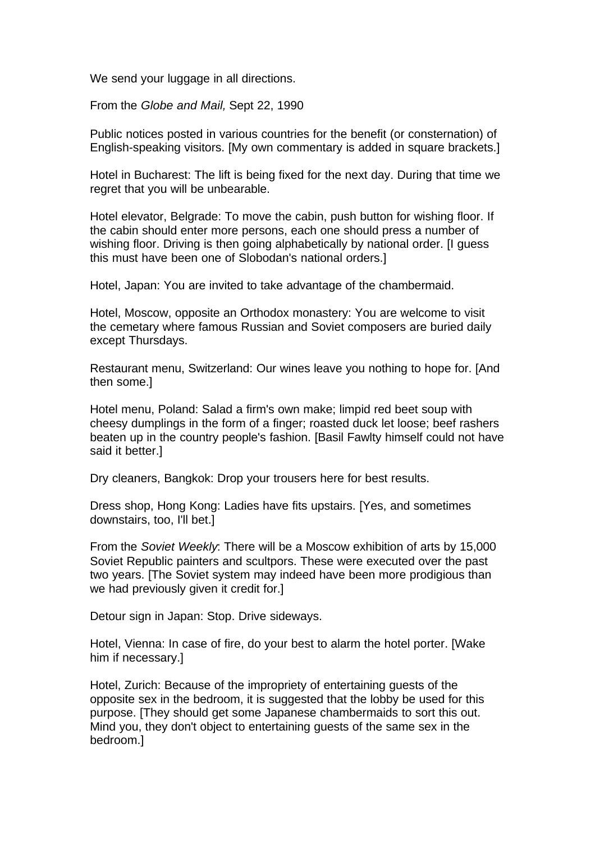We send your luggage in all directions.

From the *Globe and Mail,* Sept 22, 1990

Public notices posted in various countries for the benefit (or consternation) of English-speaking visitors. [My own commentary is added in square brackets.]

Hotel in Bucharest: The lift is being fixed for the next day. During that time we regret that you will be unbearable.

Hotel elevator, Belgrade: To move the cabin, push button for wishing floor. If the cabin should enter more persons, each one should press a number of wishing floor. Driving is then going alphabetically by national order. [I guess this must have been one of Slobodan's national orders.]

Hotel, Japan: You are invited to take advantage of the chambermaid.

Hotel, Moscow, opposite an Orthodox monastery: You are welcome to visit the cemetary where famous Russian and Soviet composers are buried daily except Thursdays.

Restaurant menu, Switzerland: Our wines leave you nothing to hope for. [And then some.]

Hotel menu, Poland: Salad a firm's own make; limpid red beet soup with cheesy dumplings in the form of a finger; roasted duck let loose; beef rashers beaten up in the country people's fashion. [Basil Fawlty himself could not have said it better.]

Dry cleaners, Bangkok: Drop your trousers here for best results.

Dress shop, Hong Kong: Ladies have fits upstairs. [Yes, and sometimes downstairs, too, I'll bet.]

From the *Soviet Weekly*: There will be a Moscow exhibition of arts by 15,000 Soviet Republic painters and scultpors. These were executed over the past two years. [The Soviet system may indeed have been more prodigious than we had previously given it credit for.]

Detour sign in Japan: Stop. Drive sideways.

Hotel, Vienna: In case of fire, do your best to alarm the hotel porter. [Wake him if necessary.]

Hotel, Zurich: Because of the impropriety of entertaining guests of the opposite sex in the bedroom, it is suggested that the lobby be used for this purpose. [They should get some Japanese chambermaids to sort this out. Mind you, they don't object to entertaining guests of the same sex in the bedroom.]